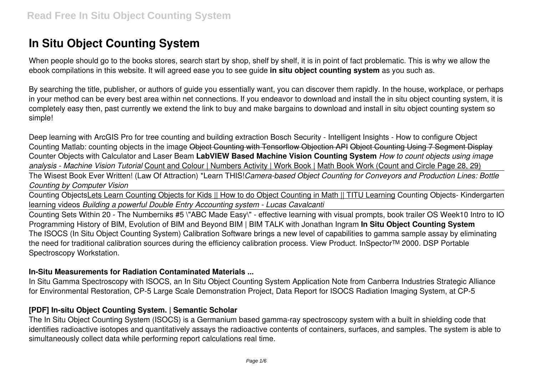# **In Situ Object Counting System**

When people should go to the books stores, search start by shop, shelf by shelf, it is in point of fact problematic. This is why we allow the ebook compilations in this website. It will agreed ease you to see guide **in situ object counting system** as you such as.

By searching the title, publisher, or authors of guide you essentially want, you can discover them rapidly. In the house, workplace, or perhaps in your method can be every best area within net connections. If you endeavor to download and install the in situ object counting system, it is completely easy then, past currently we extend the link to buy and make bargains to download and install in situ object counting system so simple!

Deep learning with ArcGIS Pro for tree counting and building extraction Bosch Security - Intelligent Insights - How to configure Object Counting Matlab: counting objects in the image Object Counting with Tensorflow Objection API Object Counting Using 7 Segment Display Counter Objects with Calculator and Laser Beam **LabVIEW Based Machine Vision Counting System** *How to count objects using image analysis - Machine Vision Tutorial* Count and Colour | Numbers Activity | Work Book | Math Book Work (Count and Circle Page 28, 29)

The Wisest Book Ever Written! (Law Of Attraction) \*Learn THIS!*Camera-based Object Counting for Conveyors and Production Lines: Bottle Counting by Computer Vision*

Counting ObjectsLets Learn Counting Objects for Kids || How to do Object Counting in Math || TITU Learning Counting Objects- Kindergarten learning videos *Building a powerful Double Entry Accounting system - Lucas Cavalcanti*

Counting Sets Within 20 - The Numberniks #5 \"ABC Made Easy\" - effective learning with visual prompts, book trailer OS Week10 Intro to IO Programming History of BIM, Evolution of BIM and Beyond BIM | BIM TALK with Jonathan Ingram **In Situ Object Counting System** The ISOCS (In Situ Object Counting System) Calibration Software brings a new level of capabilities to gamma sample assay by eliminating the need for traditional calibration sources during the efficiency calibration process. View Product. InSpector™ 2000. DSP Portable Spectroscopy Workstation.

#### **In-Situ Measurements for Radiation Contaminated Materials ...**

In Situ Gamma Spectroscopy with ISOCS, an In Situ Object Counting System Application Note from Canberra Industries Strategic Alliance for Environmental Restoration, CP-5 Large Scale Demonstration Project, Data Report for ISOCS Radiation Imaging System, at CP-5

#### **[PDF] In-situ Object Counting System. | Semantic Scholar**

The In Situ Object Counting System (ISOCS) is a Germanium based gamma-ray spectroscopy system with a built in shielding code that identifies radioactive isotopes and quantitatively assays the radioactive contents of containers, surfaces, and samples. The system is able to simultaneously collect data while performing report calculations real time.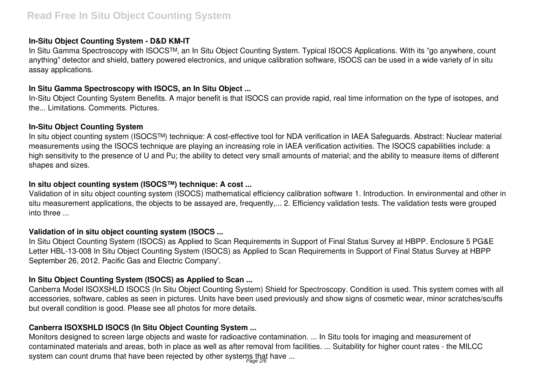#### **In-Situ Object Counting System - D&D KM-IT**

In Situ Gamma Spectroscopy with ISOCS™, an In Situ Object Counting System. Typical ISOCS Applications. With its "go anywhere, count anything" detector and shield, battery powered electronics, and unique calibration software, ISOCS can be used in a wide variety of in situ assay applications.

#### **In Situ Gamma Spectroscopy with ISOCS, an In Situ Object ...**

In-Situ Object Counting System Benefits. A major benefit is that ISOCS can provide rapid, real time information on the type of isotopes, and the... Limitations. Comments. Pictures.

#### **In-Situ Object Counting System**

In situ object counting system (ISOCS™) technique: A cost-effective tool for NDA verification in IAEA Safeguards. Abstract: Nuclear material measurements using the ISOCS technique are playing an increasing role in IAEA verification activities. The ISOCS capabilities include: a high sensitivity to the presence of U and Pu; the ability to detect very small amounts of material; and the ability to measure items of different shapes and sizes.

#### **In situ object counting system (ISOCS™) technique: A cost ...**

Validation of in situ object counting system (ISOCS) mathematical efficiency calibration software 1. Introduction. In environmental and other in situ measurement applications, the objects to be assayed are, frequently,... 2. Efficiency validation tests. The validation tests were grouped into three ...

#### **Validation of in situ object counting system (ISOCS ...**

In Situ Object Counting System (ISOCS) as Applied to Scan Requirements in Support of Final Status Survey at HBPP. Enclosure 5 PG&E Letter HBL-13-008 In Situ Object Counting System (ISOCS) as Applied to Scan Requirements in Support of Final Status Survey at HBPP September 26, 2012. Pacific Gas and Electric Company'.

# **In Situ Object Counting System (ISOCS) as Applied to Scan ...**

Canberra Model ISOXSHLD ISOCS (In Situ Object Counting System) Shield for Spectroscopy. Condition is used. This system comes with all accessories, software, cables as seen in pictures. Units have been used previously and show signs of cosmetic wear, minor scratches/scuffs but overall condition is good. Please see all photos for more details.

# **Canberra ISOXSHLD ISOCS (In Situ Object Counting System ...**

Monitors designed to screen large objects and waste for radioactive contamination. ... In Situ tools for imaging and measurement of contaminated materials and areas, both in place as well as after removal from facilities. ... Suitability for higher count rates - the MILCC system can count drums that have been rejected by other systems that have ...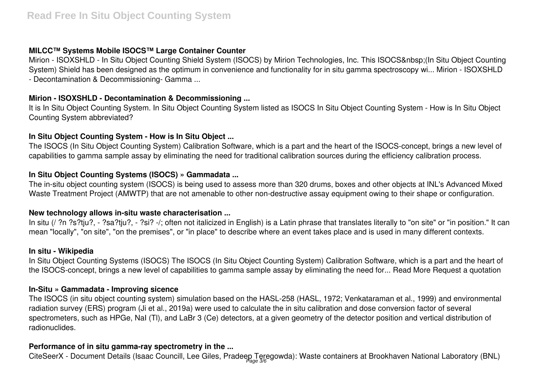# **MILCC™ Systems Mobile ISOCS™ Large Container Counter**

Mirion - ISOXSHLD - In Situ Object Counting Shield System (ISOCS) by Mirion Technologies, Inc. This ISOCS (In Situ Object Counting System) Shield has been designed as the optimum in convenience and functionality for in situ gamma spectroscopy wi... Mirion - ISOXSHLD - Decontamination & Decommissioning- Gamma ...

# **Mirion - ISOXSHLD - Decontamination & Decommissioning ...**

It is In Situ Object Counting System. In Situ Object Counting System listed as ISOCS In Situ Object Counting System - How is In Situ Object Counting System abbreviated?

# **In Situ Object Counting System - How is In Situ Object ...**

The ISOCS (In Situ Object Counting System) Calibration Software, which is a part and the heart of the ISOCS-concept, brings a new level of capabilities to gamma sample assay by eliminating the need for traditional calibration sources during the efficiency calibration process.

# **In Situ Object Counting Systems (ISOCS) » Gammadata ...**

The in-situ object counting system (ISOCS) is being used to assess more than 320 drums, boxes and other objects at INL's Advanced Mixed Waste Treatment Project (AMWTP) that are not amenable to other non-destructive assay equipment owing to their shape or configuration.

#### **New technology allows in-situ waste characterisation ...**

In situ (/ ?n ?s?tju?, - ?sa?tju?, - ?si? -/; often not italicized in English) is a Latin phrase that translates literally to "on site" or "in position." It can mean "locally", "on site", "on the premises", or "in place" to describe where an event takes place and is used in many different contexts.

#### **In situ - Wikipedia**

In Situ Object Counting Systems (ISOCS) The ISOCS (In Situ Object Counting System) Calibration Software, which is a part and the heart of the ISOCS-concept, brings a new level of capabilities to gamma sample assay by eliminating the need for... Read More Request a quotation

# **In-Situ » Gammadata - Improving sicence**

The ISOCS (in situ object counting system) simulation based on the HASL-258 (HASL, 1972; Venkataraman et al., 1999) and environmental radiation survey (ERS) program (Ji et al., 2019a) were used to calculate the in situ calibration and dose conversion factor of several spectrometers, such as HPGe, NaI (Tl), and LaBr 3 (Ce) detectors, at a given geometry of the detector position and vertical distribution of radionuclides.

# **Performance of in situ gamma-ray spectrometry in the ...**

CiteSeerX - Document Details (Isaac Councill, Lee Giles, Pradeep Teregowda): Waste containers at Brookhaven National Laboratory (BNL)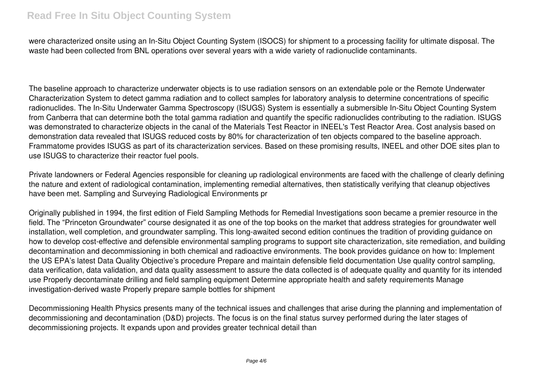were characterized onsite using an In-Situ Object Counting System (ISOCS) for shipment to a processing facility for ultimate disposal. The waste had been collected from BNL operations over several years with a wide variety of radionuclide contaminants.

The baseline approach to characterize underwater objects is to use radiation sensors on an extendable pole or the Remote Underwater Characterization System to detect gamma radiation and to collect samples for laboratory analysis to determine concentrations of specific radionuclides. The In-Situ Underwater Gamma Spectroscopy (ISUGS) System is essentially a submersible In-Situ Object Counting System from Canberra that can determine both the total gamma radiation and quantify the specific radionuclides contributing to the radiation. ISUGS was demonstrated to characterize objects in the canal of the Materials Test Reactor in INEEL's Test Reactor Area. Cost analysis based on demonstration data revealed that ISUGS reduced costs by 80% for characterization of ten objects compared to the baseline approach. Frammatome provides ISUGS as part of its characterization services. Based on these promising results, INEEL and other DOE sites plan to use ISUGS to characterize their reactor fuel pools.

Private landowners or Federal Agencies responsible for cleaning up radiological environments are faced with the challenge of clearly defining the nature and extent of radiological contamination, implementing remedial alternatives, then statistically verifying that cleanup objectives have been met. Sampling and Surveying Radiological Environments pr

Originally published in 1994, the first edition of Field Sampling Methods for Remedial Investigations soon became a premier resource in the field. The "Princeton Groundwater" course designated it as one of the top books on the market that address strategies for groundwater well installation, well completion, and groundwater sampling. This long-awaited second edition continues the tradition of providing guidance on how to develop cost-effective and defensible environmental sampling programs to support site characterization, site remediation, and building decontamination and decommissioning in both chemical and radioactive environments. The book provides guidance on how to: Implement the US EPA's latest Data Quality Objective's procedure Prepare and maintain defensible field documentation Use quality control sampling, data verification, data validation, and data quality assessment to assure the data collected is of adequate quality and quantity for its intended use Properly decontaminate drilling and field sampling equipment Determine appropriate health and safety requirements Manage investigation-derived waste Properly prepare sample bottles for shipment

Decommissioning Health Physics presents many of the technical issues and challenges that arise during the planning and implementation of decommissioning and decontamination (D&D) projects. The focus is on the final status survey performed during the later stages of decommissioning projects. It expands upon and provides greater technical detail than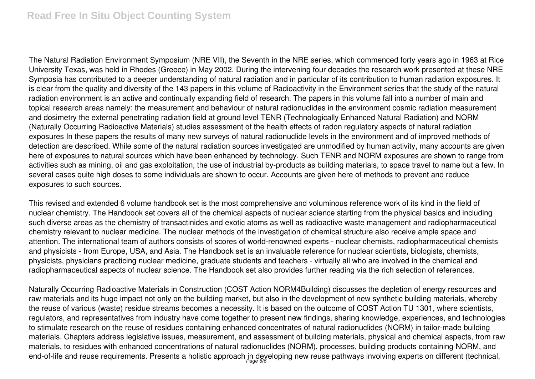# **Read Free In Situ Object Counting System**

The Natural Radiation Environment Symposium (NRE VII), the Seventh in the NRE series, which commenced forty years ago in 1963 at Rice University Texas, was held in Rhodes (Greece) in May 2002. During the intervening four decades the research work presented at these NRE Symposia has contributed to a deeper understanding of natural radiation and in particular of its contribution to human radiation exposures. It is clear from the quality and diversity of the 143 papers in this volume of Radioactivity in the Environment series that the study of the natural radiation environment is an active and continually expanding field of research. The papers in this volume fall into a number of main and topical research areas namely: the measurement and behaviour of natural radionuclides in the environment cosmic radiation measurement and dosimetry the external penetrating radiation field at ground level TENR (Technologically Enhanced Natural Radiation) and NORM (Naturally Occurring Radioactive Materials) studies assessment of the health effects of radon regulatory aspects of natural radiation exposures In these papers the results of many new surveys of natural radionuclide levels in the environment and of improved methods of detection are described. While some of the natural radiation sources investigated are unmodified by human activity, many accounts are given here of exposures to natural sources which have been enhanced by technology. Such TENR and NORM exposures are shown to range from activities such as mining, oil and gas exploitation, the use of industrial by-products as building materials, to space travel to name but a few. In several cases quite high doses to some individuals are shown to occur. Accounts are given here of methods to prevent and reduce exposures to such sources.

This revised and extended 6 volume handbook set is the most comprehensive and voluminous reference work of its kind in the field of nuclear chemistry. The Handbook set covers all of the chemical aspects of nuclear science starting from the physical basics and including such diverse areas as the chemistry of transactinides and exotic atoms as well as radioactive waste management and radiopharmaceutical chemistry relevant to nuclear medicine. The nuclear methods of the investigation of chemical structure also receive ample space and attention. The international team of authors consists of scores of world-renowned experts - nuclear chemists, radiopharmaceutical chemists and physicists - from Europe, USA, and Asia. The Handbook set is an invaluable reference for nuclear scientists, biologists, chemists, physicists, physicians practicing nuclear medicine, graduate students and teachers - virtually all who are involved in the chemical and radiopharmaceutical aspects of nuclear science. The Handbook set also provides further reading via the rich selection of references.

Naturally Occurring Radioactive Materials in Construction (COST Action NORM4Building) discusses the depletion of energy resources and raw materials and its huge impact not only on the building market, but also in the development of new synthetic building materials, whereby the reuse of various (waste) residue streams becomes a necessity. It is based on the outcome of COST Action TU 1301, where scientists, regulators, and representatives from industry have come together to present new findings, sharing knowledge, experiences, and technologies to stimulate research on the reuse of residues containing enhanced concentrates of natural radionuclides (NORM) in tailor-made building materials. Chapters address legislative issues, measurement, and assessment of building materials, physical and chemical aspects, from raw materials, to residues with enhanced concentrations of natural radionuclides (NORM), processes, building products containing NORM, and end-of-life and reuse requirements. Presents a holistic approach in developing new reuse pathways involving experts on different (technical,